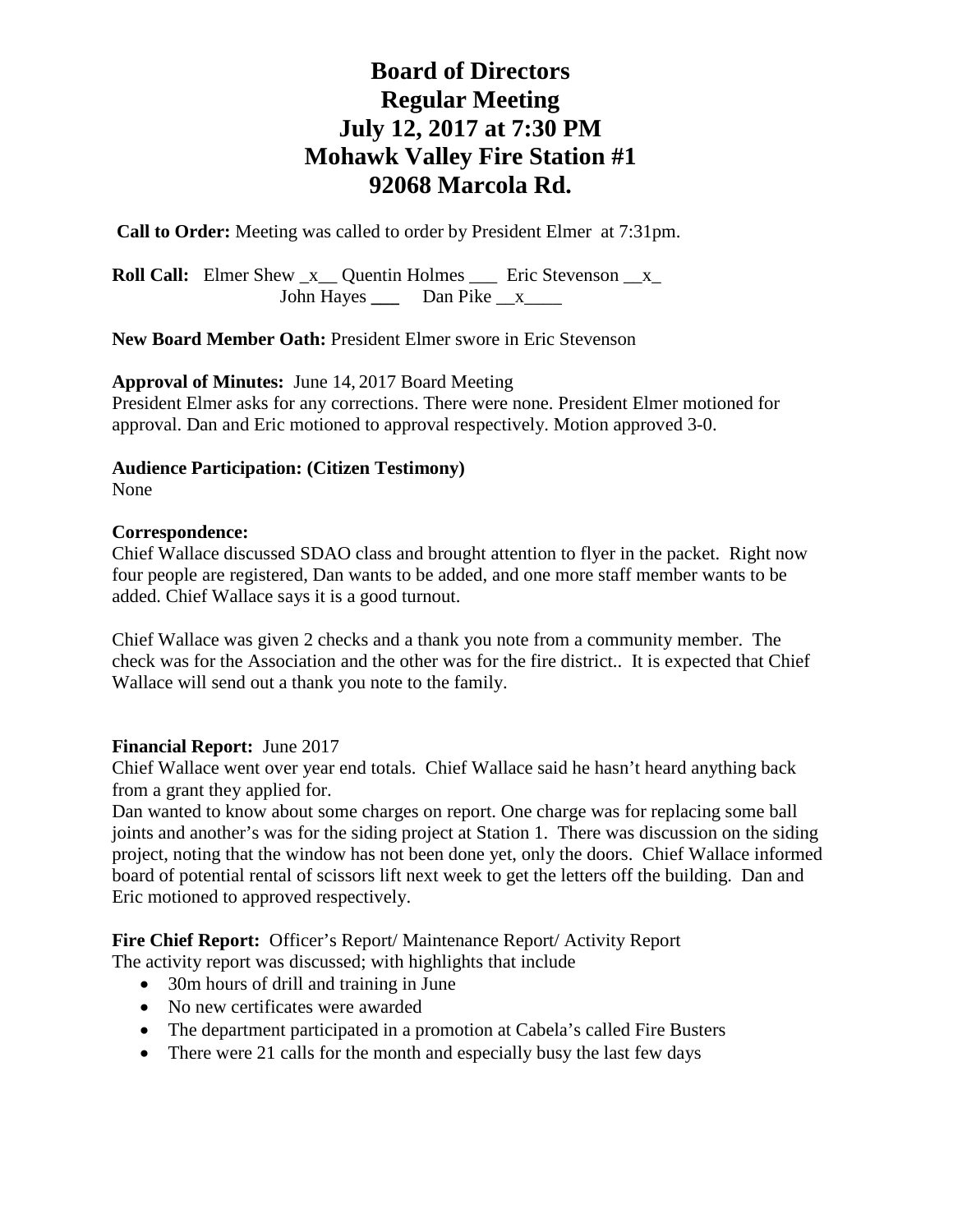# **Board of Directors Regular Meeting July 12, 2017 at 7:30 PM Mohawk Valley Fire Station #1 92068 Marcola Rd.**

**Call to Order:** Meeting was called to order by President Elmer at 7:31pm.

**Roll Call:** Elmer Shew  $\mathbf{x}$  Quentin Holmes  $\mathbf{r}$  Eric Stevenson  $\mathbf{x}$ John Hayes **\_\_\_** Dan Pike \_\_x\_\_\_\_

**New Board Member Oath:** President Elmer swore in Eric Stevenson

**Approval of Minutes:** June 14, 2017 Board Meeting

President Elmer asks for any corrections. There were none. President Elmer motioned for approval. Dan and Eric motioned to approval respectively. Motion approved 3-0.

**Audience Participation: (Citizen Testimony)**

None

#### **Correspondence:**

Chief Wallace discussed SDAO class and brought attention to flyer in the packet. Right now four people are registered, Dan wants to be added, and one more staff member wants to be added. Chief Wallace says it is a good turnout.

Chief Wallace was given 2 checks and a thank you note from a community member. The check was for the Association and the other was for the fire district.. It is expected that Chief Wallace will send out a thank you note to the family.

#### **Financial Report:** June 2017

Chief Wallace went over year end totals. Chief Wallace said he hasn't heard anything back from a grant they applied for.

Dan wanted to know about some charges on report. One charge was for replacing some ball joints and another's was for the siding project at Station 1. There was discussion on the siding project, noting that the window has not been done yet, only the doors. Chief Wallace informed board of potential rental of scissors lift next week to get the letters off the building. Dan and Eric motioned to approved respectively.

Fire Chief Report: Officer's Report/ Maintenance Report/ Activity Report

The activity report was discussed; with highlights that include

- 30m hours of drill and training in June
- No new certificates were awarded
- The department participated in a promotion at Cabela's called Fire Busters
- There were 21 calls for the month and especially busy the last few days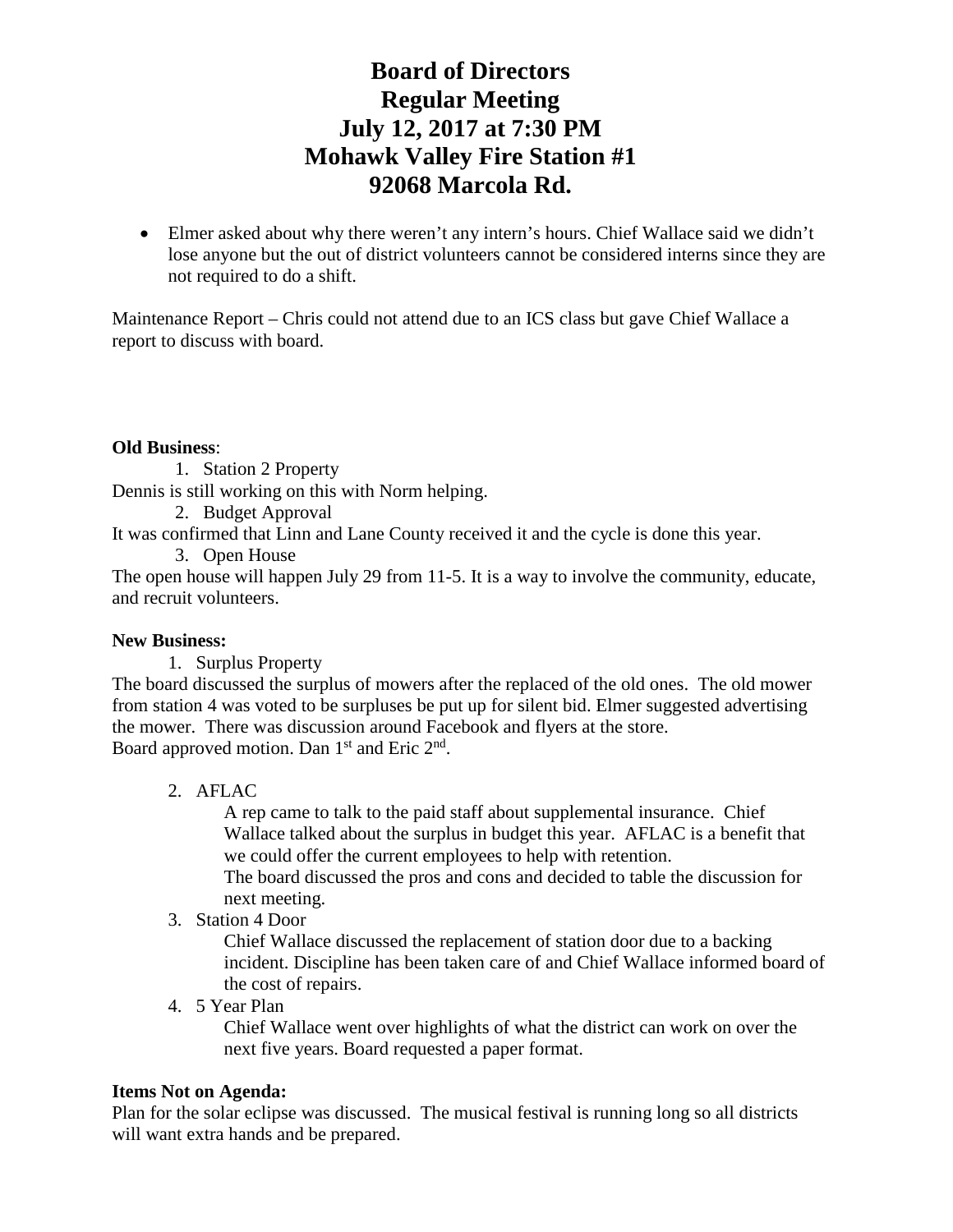# **Board of Directors Regular Meeting July 12, 2017 at 7:30 PM Mohawk Valley Fire Station #1 92068 Marcola Rd.**

• Elmer asked about why there weren't any intern's hours. Chief Wallace said we didn't lose anyone but the out of district volunteers cannot be considered interns since they are not required to do a shift.

Maintenance Report – Chris could not attend due to an ICS class but gave Chief Wallace a report to discuss with board.

### **Old Business**:

1. Station 2 Property

Dennis is still working on this with Norm helping.

2. Budget Approval

It was confirmed that Linn and Lane County received it and the cycle is done this year.

3. Open House

The open house will happen July 29 from 11-5. It is a way to involve the community, educate, and recruit volunteers.

## **New Business:**

1. Surplus Property

The board discussed the surplus of mowers after the replaced of the old ones. The old mower from station 4 was voted to be surpluses be put up for silent bid. Elmer suggested advertising the mower. There was discussion around Facebook and flyers at the store. Board approved motion. Dan  $1<sup>st</sup>$  and Eric  $2<sup>nd</sup>$ .

2. AFLAC

A rep came to talk to the paid staff about supplemental insurance. Chief Wallace talked about the surplus in budget this year. AFLAC is a benefit that we could offer the current employees to help with retention. The board discussed the pros and cons and decided to table the discussion for next meeting.

3. Station 4 Door

Chief Wallace discussed the replacement of station door due to a backing incident. Discipline has been taken care of and Chief Wallace informed board of the cost of repairs.

## 4. 5 Year Plan

Chief Wallace went over highlights of what the district can work on over the next five years. Board requested a paper format.

## **Items Not on Agenda:**

Plan for the solar eclipse was discussed. The musical festival is running long so all districts will want extra hands and be prepared.